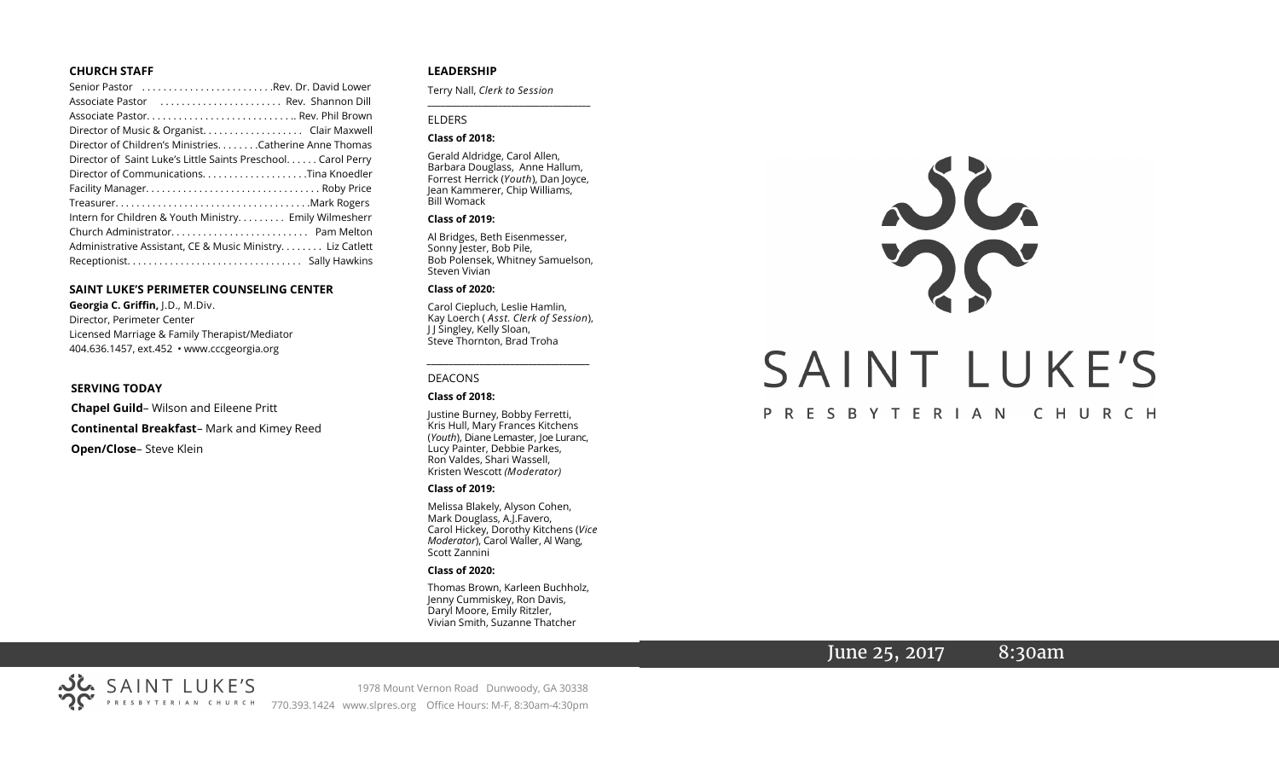### **CHURCH STAFF**

| Senior Pastor Rev. Dr. David Lower                           |
|--------------------------------------------------------------|
| Associate Pastor  Rev. Shannon Dill                          |
|                                                              |
| Director of Music & Organist. Clair Maxwell                  |
| Director of Children's Ministries. Catherine Anne Thomas     |
| Director of Saint Luke's Little Saints Preschool Carol Perry |
|                                                              |
|                                                              |
|                                                              |
| Intern for Children & Youth Ministry Emily Wilmesherr        |
| Church Administrator Pam Melton                              |
| Administrative Assistant, CE & Music Ministry Liz Catlett    |
|                                                              |

### **SAINT LUKE'S PERIMETER COUNSELING CENTER**

**Georgia C. Griffin,** J.D., M.Div. Director, Perimeter Center Licensed Marriage & Family Therapist/Mediator 404.636.1457, ext.452 • www.cccgeorgia.org

#### **SERVING TODAY**

**Chapel Guild**– Wilson and Eileene Pritt **Continental Breakfast**– Mark and Kimey Reed **Open/Close**– Steve Klein

### **LEADERSHIP**

Terry Nall, *Clerk to Session* 

### ELDERS

### **Class of 2018:**

Gerald Aldridge, Carol Allen, Barbara Douglass, Anne Hallum, Forrest Herrick (*Youth*), Dan Joyce, Jean Kammerer, Chip Williams, Bill Womack

**\_\_\_\_\_\_\_\_\_\_\_\_\_\_\_\_\_\_\_\_\_\_\_\_\_\_\_\_\_\_\_\_\_\_\_\_\_\_\_**

#### **Class of 2019:**

Al Bridges, Beth Eisenmesser, Sonny Jester, Bob Pile, Bob Polensek, Whitney Samuelson, Steven Vivian

#### **Class of 2020:**

Carol Ciepluch, Leslie Hamlin, Kay Loerch ( *Asst. Clerk of Session*), J J Singley, Kelly Sloan, Steve Thornton, Brad Troha

*\_\_\_\_\_\_\_\_\_\_\_\_\_\_\_\_\_\_\_\_\_\_\_\_\_\_\_\_\_\_\_\_\_\_\_\_\_*

#### DEACONS

#### **Class of 2018:**

Justine Burney, Bobby Ferretti, Kris Hull, Mary Frances Kitchens (*Youth*), Diane Lemaster, Joe Luranc, Lucy Painter, Debbie Parkes, Ron Valdes, Shari Wassell, Kristen Wescott *(Moderator)*

#### **Class of 2019:**

Melissa Blakely, Alyson Cohen, Mark Douglass, A.J.Favero, Carol Hickey, Dorothy Kitchens (*Vice Moderator*), Carol Waller, Al Wang, Scott Zannini

### **Class of 2020:**

Thomas Brown, Karleen Buchholz, Jenny Cummiskey, Ron Davis, Daryl Moore, Emily Ritzler, Vivian Smith, Suzanne Thatcher



## PRESBYTERIAN CHURCH

# June 25, 2017 8:30am



1978 Mount Vernon Road Dunwoody, GA 30338 770.393.1424 www.slpres.org Office Hours: M-F, 8:30am-4:30pm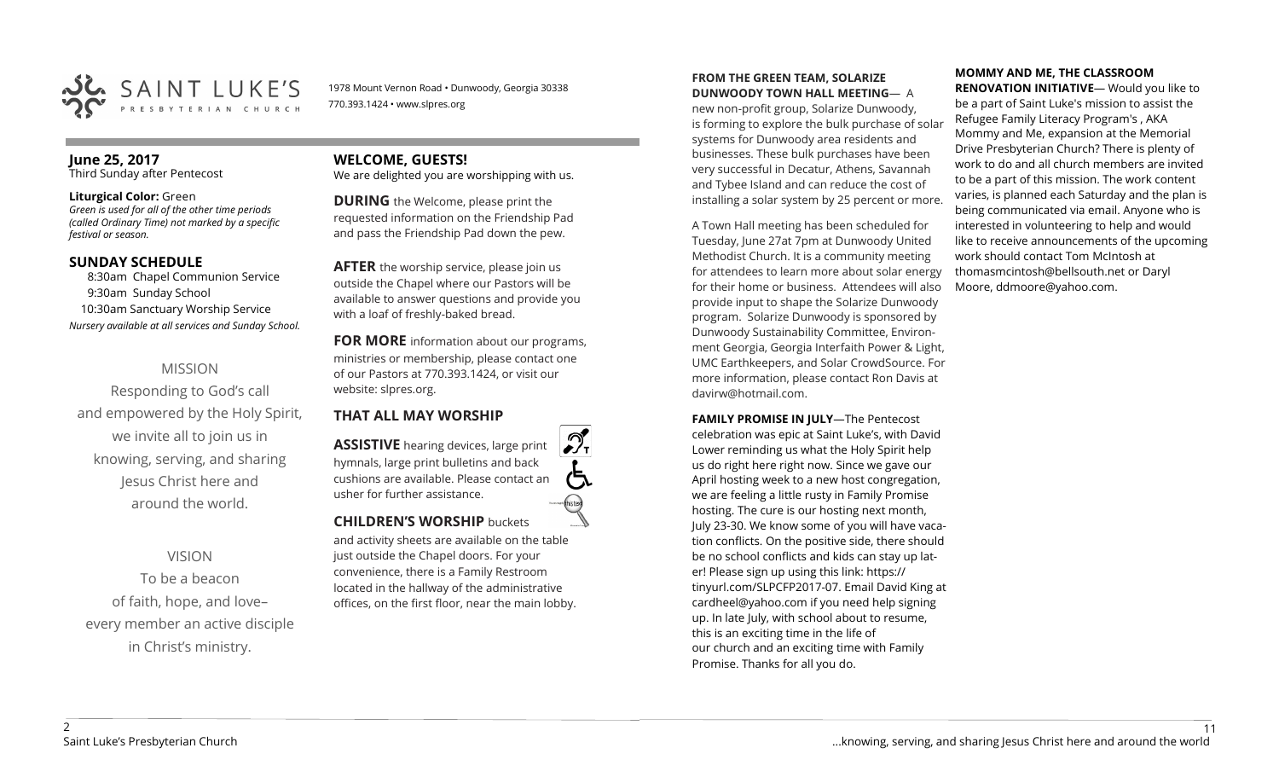

1978 Mount Vernon Road • Dunwoody, Georgia 30338 770.393.1424 • www.slpres.org

## **June 25, 2017**

Third Sunday after Pentecost

### **Liturgical Color:** Green

*Green is used for all of the other time periods (called Ordinary Time) not marked by a specific festival or season.* 

## **SUNDAY SCHEDULE**

8:30am Chapel Communion Service 9:30am Sunday School 10:30am Sanctuary Worship Service *Nursery available at all services and Sunday School.*

## MISSION

Responding to God's call and empowered by the Holy Spirit, we invite all to join us in knowing, serving, and sharing Jesus Christ here and around the world.

## VISION

To be a beacon of faith, hope, and love– every member an active disciple in Christ's ministry.

# **WELCOME, GUESTS!**

We are delighted you are worshipping with us.

**DURING** the Welcome, please print the requested information on the Friendship Pad and pass the Friendship Pad down the pew.

**AFTER** the worship service, please join us outside the Chapel where our Pastors will be available to answer questions and provide you with a loaf of freshly-baked bread.

**FOR MORE** information about our programs, ministries or membership, please contact one of our Pastors at 770.393.1424, or visit our website: slpres.org.

## **THAT ALL MAY WORSHIP**

**ASSISTIVE** hearing devices, large print hymnals, large print bulletins and back cushions are available. Please contact an usher for further assistance. **CHILDREN'S WORSHIP** buckets

and activity sheets are available on the table just outside the Chapel doors. For your convenience, there is a Family Restroom located in the hallway of the administrative offices, on the first floor, near the main lobby.

### **FROM THE GREEN TEAM, SOLARIZE DUNWOODY TOWN HALL MEETING**— A

new non-profit group, Solarize Dunwoody, is forming to explore the bulk purchase of solar systems for Dunwoody area residents and businesses. These bulk purchases have been very successful in Decatur, Athens, Savannah and Tybee Island and can reduce the cost of installing a solar system by 25 percent or more.

A Town Hall meeting has been scheduled for Tuesday, June 27at 7pm at Dunwoody United Methodist Church. It is a community meeting for attendees to learn more about solar energy for their home or business. Attendees will also provide input to shape the Solarize Dunwoody program. Solarize Dunwoody is sponsored by Dunwoody Sustainability Committee, Environment Georgia, Georgia Interfaith Power & Light, UMC Earthkeepers, and Solar CrowdSource. For more information, please contact Ron Davis at davirw@hotmail.com.

**FAMILY PROMISE IN JULY**—The Pentecost celebration was epic at Saint Luke's, with David Lower reminding us what the Holy Spirit help us do right here right now. Since we gave our April hosting week to a new host congregation, we are feeling a little rusty in Family Promise hosting. The cure is our hosting next month, July 23-30. We know some of you will have vacation conflicts. On the positive side, there should be no school conflicts and kids can stay up later! Please sign up using this link: [https://](https://tinyurl.com/SLPCFP2017-07) [tinyurl.com/SLPCFP2017](https://tinyurl.com/SLPCFP2017-07)-07. Email David King at cardheel@yahoo.com if you need help signing up. In late July, with school about to resume, this is an exciting time in the life of our church and an exciting time with Family Promise. Thanks for all you do.

# **MOMMY AND ME, THE CLASSROOM**

**RENOVATION INITIATIVE**— Would you like to be a part of Saint Luke's mission to assist the Refugee Family Literacy Program's , AKA Mommy and Me, expansion at the Memorial Drive Presbyterian Church? There is plenty of work to do and all church members are invited to be a part of this mission. The work content varies, is planned each Saturday and the plan is being communicated via email. Anyone who is interested in volunteering to help and would like to receive announcements of the upcoming work should contact Tom McIntosh at [thomasmcintosh@bellsouth.net](mailto:thomasmcintosh@bellsouth.net) or Daryl Moore, [ddmoore@yahoo.com.](mailto:ddmoore@yahoo.com)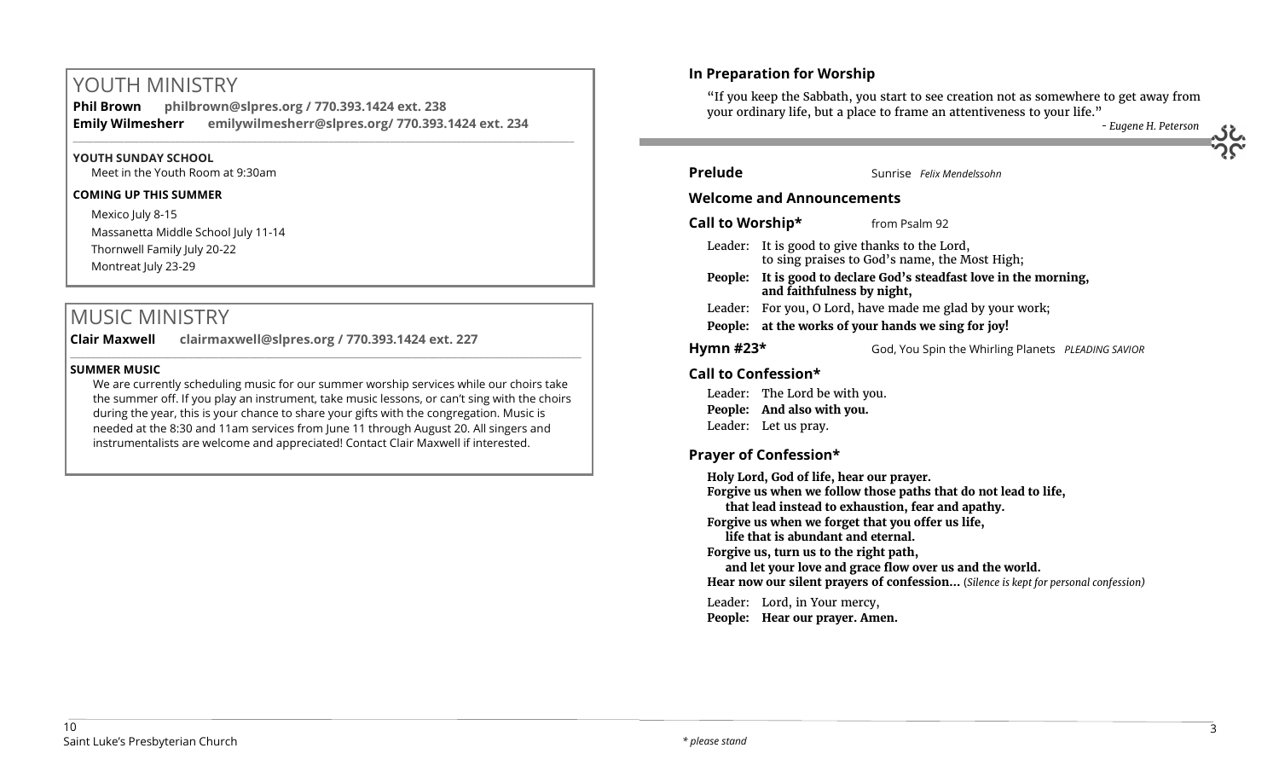# YOUTH MINISTRY

**Phil Brown philbrown@slpres.org / 770.393.1424 ext. 238 Emily Wilmesherr emilywilmesherr@slpres.org/ 770.393.1424 ext. 234**   $\_$  ,  $\_$  ,  $\_$  ,  $\_$  ,  $\_$  ,  $\_$  ,  $\_$  ,  $\_$  ,  $\_$  ,  $\_$  ,  $\_$  ,  $\_$  ,  $\_$  ,  $\_$  ,  $\_$  ,  $\_$  ,  $\_$  ,  $\_$  ,  $\_$  ,  $\_$ 

## **YOUTH SUNDAY SCHOOL**

Meet in the Youth Room at 9:30am

## **COMING UP THIS SUMMER**

Mexico July 8-15 Massanetta Middle School July 11-14 Thornwell Family July 20-22 Montreat July 23-29

# MUSIC MINISTRY

**Clair Maxwell clairmaxwell@slpres.org / 770.393.1424 ext. 227**  \_\_\_\_\_\_\_\_\_\_\_\_\_\_\_\_\_\_\_\_\_\_\_\_\_\_\_\_\_\_\_\_\_\_\_\_\_\_\_\_\_\_\_\_\_\_\_\_\_\_\_\_\_\_\_\_\_\_\_\_\_\_\_\_\_\_\_\_\_\_\_\_\_\_\_\_\_\_\_\_\_\_\_\_\_\_\_\_\_\_\_\_\_\_\_\_\_\_\_\_

## **SUMMER MUSIC**

We are currently scheduling music for our summer worship services while our choirs take the summer off. If you play an instrument, take music lessons, or can't sing with the choirs during the year, this is your chance to share your gifts with the congregation. Music is needed at the 8:30 and 11am services from June 11 through August 20. All singers and instrumentalists are welcome and appreciated! Contact Clair Maxwell if interested.

# **In Preparation for Worship**

"If you keep the Sabbath, you start to see creation not as somewhere to get away from your ordinary life, but a place to frame an attentiveness to your life."

*- Eugene H. Peterson*

| <b>Prelude</b>                                                                                                                                                                                                                                                                                        |                                                                                                                                           |               | Sunrise Felix Mendelssohn                          |  |  |
|-------------------------------------------------------------------------------------------------------------------------------------------------------------------------------------------------------------------------------------------------------------------------------------------------------|-------------------------------------------------------------------------------------------------------------------------------------------|---------------|----------------------------------------------------|--|--|
| <b>Welcome and Announcements</b>                                                                                                                                                                                                                                                                      |                                                                                                                                           |               |                                                    |  |  |
| Call to Worship*                                                                                                                                                                                                                                                                                      |                                                                                                                                           | from Psalm 92 |                                                    |  |  |
| Leader:                                                                                                                                                                                                                                                                                               | It is good to give thanks to the Lord,                                                                                                    |               |                                                    |  |  |
| People:                                                                                                                                                                                                                                                                                               | to sing praises to God's name, the Most High;<br>It is good to declare God's steadfast love in the morning,<br>and faithfulness by night, |               |                                                    |  |  |
|                                                                                                                                                                                                                                                                                                       | Leader: For you, O Lord, have made me glad by your work;                                                                                  |               |                                                    |  |  |
|                                                                                                                                                                                                                                                                                                       | People: at the works of your hands we sing for joy!                                                                                       |               |                                                    |  |  |
| Hymn $#23*$                                                                                                                                                                                                                                                                                           |                                                                                                                                           |               | God, You Spin the Whirling Planets PLEADING SAVIOR |  |  |
| Call to Confession*                                                                                                                                                                                                                                                                                   |                                                                                                                                           |               |                                                    |  |  |
|                                                                                                                                                                                                                                                                                                       | Leader: The Lord be with you.                                                                                                             |               |                                                    |  |  |
|                                                                                                                                                                                                                                                                                                       | People: And also with you.                                                                                                                |               |                                                    |  |  |
|                                                                                                                                                                                                                                                                                                       | Leader: Let us pray.                                                                                                                      |               |                                                    |  |  |
| <b>Prayer of Confession*</b>                                                                                                                                                                                                                                                                          |                                                                                                                                           |               |                                                    |  |  |
| Holy Lord, God of life, hear our prayer.<br>Forgive us when we follow those paths that do not lead to life,<br>that lead instead to exhaustion, fear and apathy.<br>Forgive us when we forget that you offer us life,<br>life that is abundant and eternal.<br>Forgive us, turn us to the right path, |                                                                                                                                           |               |                                                    |  |  |

**and let your love and grace flow over us and the world.**

**Hear now our silent prayers of confession…** (*Silence is kept for personal confession)* 

Leader: Lord, in Your mercy,

**People: Hear our prayer. Amen.**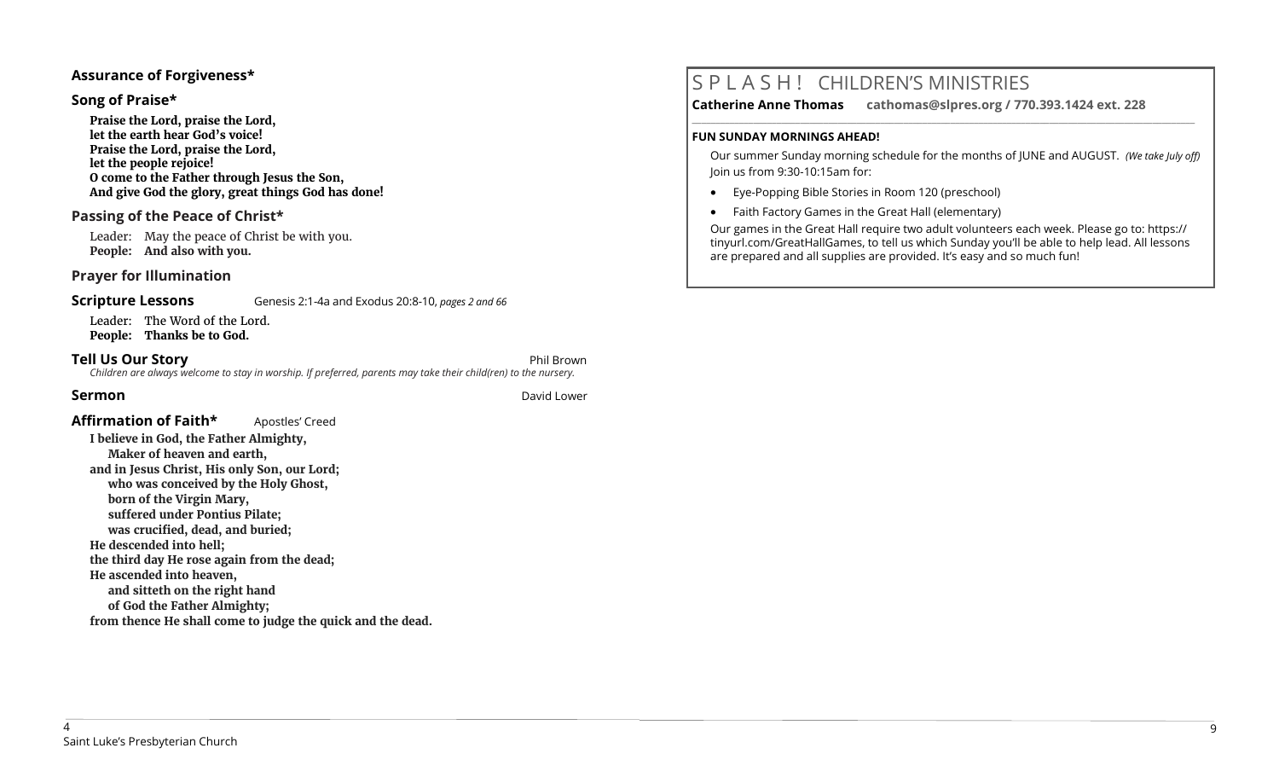## **Assurance of Forgiveness\***

## **Song of Praise\***

**Praise the Lord, praise the Lord, let the earth hear God's voice! Praise the Lord, praise the Lord, let the people rejoice! O come to the Father through Jesus the Son, And give God the glory, great things God has done!** 

## **Passing of the Peace of Christ\***

Leader: May the peace of Christ be with you. **People: And also with you.**

## **Prayer for Illumination**

**Scripture Lessons** Genesis 2:1-4a and Exodus 20:8-10, *pages 2 and 66* 

Leader: The Word of the Lord. **People: Thanks be to God.**

#### **Tell Us Our Story Phil Brown** *Children are always welcome to stay in worship. If preferred, parents may take their child(ren) to the nursery.*

**Sermon** David Lower

## **Affirmation of Faith\*** Apostles' Creed

**I believe in God, the Father Almighty, Maker of heaven and earth, and in Jesus Christ, His only Son, our Lord; who was conceived by the Holy Ghost, born of the Virgin Mary, suffered under Pontius Pilate; was crucified, dead, and buried; He descended into hell; the third day He rose again from the dead; He ascended into heaven, and sitteth on the right hand of God the Father Almighty; from thence He shall come to judge the quick and the dead.**

# S P L A S H ! CHILDREN'S MINISTRIES

**Catherine Anne Thomas cathomas@slpres.org / 770.393.1424 ext. 228** 

**\_\_\_\_\_\_\_\_\_\_\_\_\_\_\_\_\_\_\_\_\_\_\_\_\_\_\_\_\_\_\_\_\_\_\_\_\_\_\_\_\_\_\_\_\_\_\_\_\_\_\_\_\_\_\_\_\_\_\_\_\_\_\_\_\_\_\_\_\_\_\_\_\_\_\_\_\_\_\_\_\_\_\_\_\_\_\_\_\_\_\_\_\_\_\_\_\_\_\_\_\_\_\_\_\_\_\_** 

### **FUN SUNDAY MORNINGS AHEAD!**

Our summer Sunday morning schedule for the months of JUNE and AUGUST. *(We take July off)*  Join us from 9:30-10:15am for:

- Eye-Popping Bible Stories in Room 120 (preschool)
- Faith Factory Games in the Great Hall (elementary)

Our games in the Great Hall require two adult volunteers each week. Please go to: https:// tinyurl.com/GreatHallGames, to tell us which Sunday you'll be able to help lead. All lessons are prepared and all supplies are provided. It's easy and so much fun!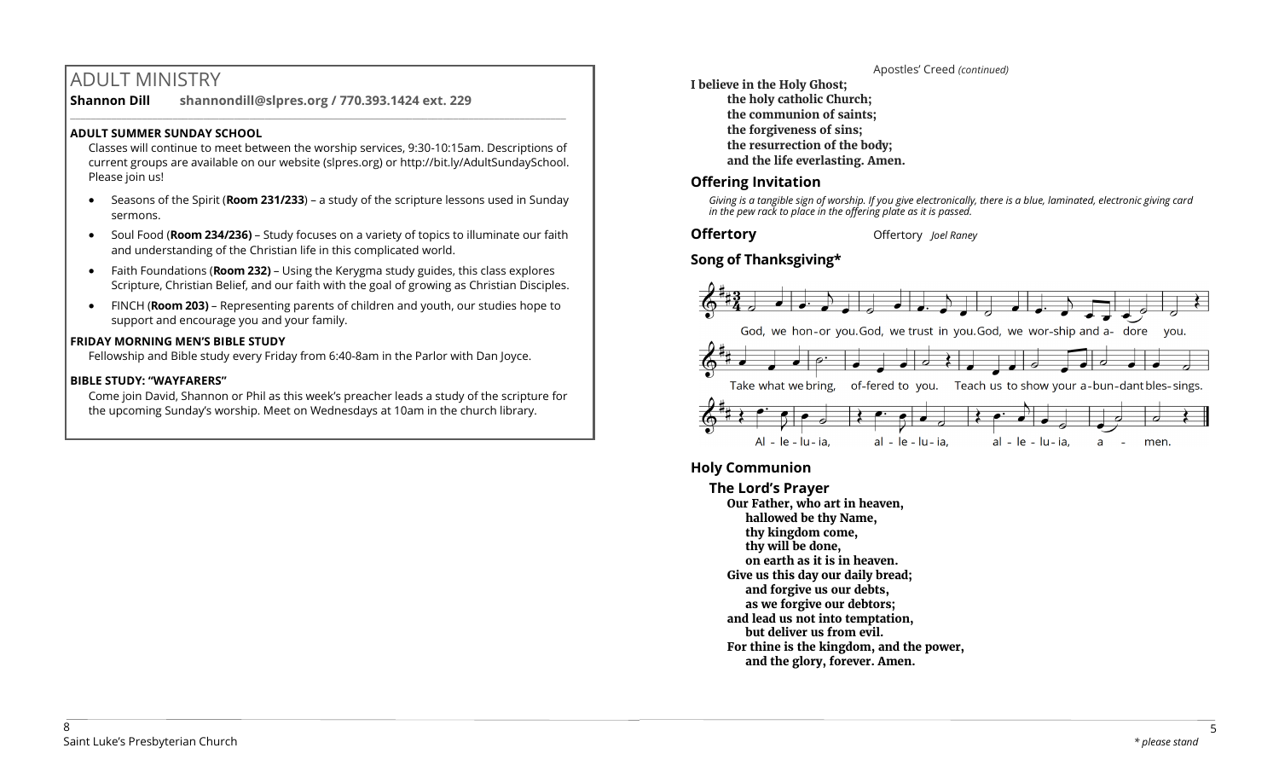# ADULT MINISTRY

**Shannon Dill shannondill@slpres.org / 770.393.1424 ext. 229**   $\_$  ,  $\_$  ,  $\_$  ,  $\_$  ,  $\_$  ,  $\_$  ,  $\_$  ,  $\_$  ,  $\_$  ,  $\_$  ,  $\_$  ,  $\_$  ,  $\_$  ,  $\_$  ,  $\_$  ,  $\_$  ,  $\_$  ,  $\_$  ,  $\_$  ,  $\_$ 

## **ADULT SUMMER SUNDAY SCHOOL**

Classes will continue to meet between the worship services, 9:30-10:15am. Descriptions of current groups are available on our website (slpres.org) or http://bit.ly/AdultSundaySchool. Please join us!

- Seasons of the Spirit (**Room 231/233**) a study of the scripture lessons used in Sunday sermons.
- Soul Food (**Room 234/236)**  Study focuses on a variety of topics to illuminate our faith and understanding of the Christian life in this complicated world.
- Faith Foundations (**Room 232)**  Using the Kerygma study guides, this class explores Scripture, Christian Belief, and our faith with the goal of growing as Christian Disciples.
- FINCH (**Room 203)** Representing parents of children and youth, our studies hope to support and encourage you and your family.

## **FRIDAY MORNING MEN'S BIBLE STUDY**

Fellowship and Bible study every Friday from 6:40-8am in the Parlor with Dan Joyce.

# **BIBLE STUDY: "WAYFARERS"**

Come join David, Shannon or Phil as this week's preacher leads a study of the scripture for the upcoming Sunday's worship. Meet on Wednesdays at 10am in the church library.

Apostles' Creed *(continued)* **I believe in the Holy Ghost; the holy catholic Church; the communion of saints; the forgiveness of sins; the resurrection of the body; and the life everlasting. Amen.**

# **Offering Invitation**

*Giving is a tangible sign of worship. If you give electronically, there is a blue, laminated, electronic giving card in the pew rack to place in the offering plate as it is passed.*

**Offertory Offertory** *Joel Raney* 

# **Song of Thanksgiving\***



# **Holy Communion**

**The Lord's Prayer Our Father, who art in heaven, hallowed be thy Name, thy kingdom come, thy will be done, on earth as it is in heaven. Give us this day our daily bread; and forgive us our debts, as we forgive our debtors; and lead us not into temptation, but deliver us from evil. For thine is the kingdom, and the power, and the glory, forever. Amen.**

5